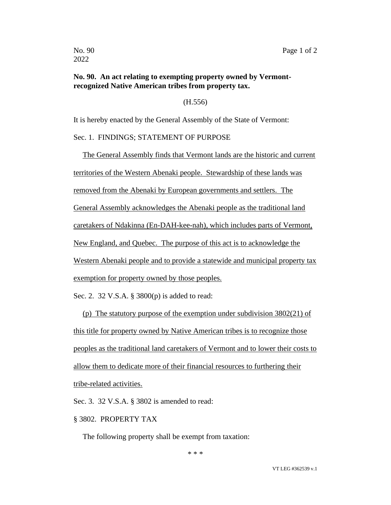## **No. 90. An act relating to exempting property owned by Vermontrecognized Native American tribes from property tax.**

(H.556)

It is hereby enacted by the General Assembly of the State of Vermont:

## Sec. 1. FINDINGS; STATEMENT OF PURPOSE

The General Assembly finds that Vermont lands are the historic and current territories of the Western Abenaki people. Stewardship of these lands was removed from the Abenaki by European governments and settlers. The General Assembly acknowledges the Abenaki people as the traditional land caretakers of Ndakinna (En-DAH-kee-nah), which includes parts of Vermont,

New England, and Quebec. The purpose of this act is to acknowledge the

Western Abenaki people and to provide a statewide and municipal property tax

exemption for property owned by those peoples.

Sec. 2. 32 V.S.A. § 3800(p) is added to read:

(p) The statutory purpose of the exemption under subdivision 3802(21) of this title for property owned by Native American tribes is to recognize those peoples as the traditional land caretakers of Vermont and to lower their costs to allow them to dedicate more of their financial resources to furthering their tribe-related activities.

Sec. 3. 32 V.S.A. § 3802 is amended to read:

§ 3802. PROPERTY TAX

The following property shall be exempt from taxation:

\* \* \*